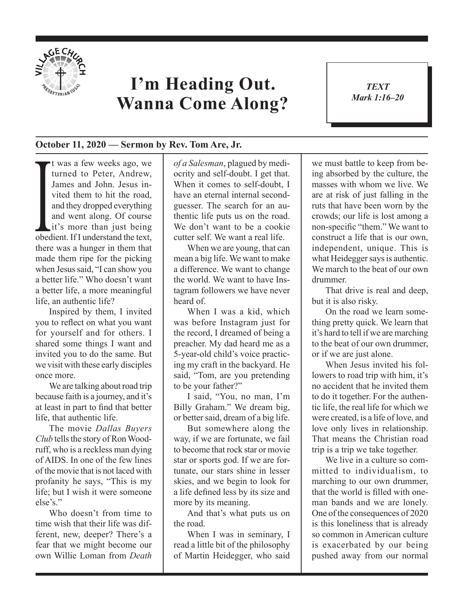

## **I'm Heading Out. Wanna Come Along?**

*TEXT Mark 1:16–20* 1

## **October 11, 2020 — Sermon by Rev. Tom Are, Jr.**

vited them to hit the road,<br>and they dropped everything<br>and went along. Of course<br>it's more than just being<br>obedient. If I understand the text, t was a few weeks ago, we turned to Peter, Andrew, James and John. Jesus invited them to hit the road, and they dropped everything and went along. Of course it's more than just being there was a hunger in them that made them ripe for the picking when Jesus said, "I can show you a better life." Who doesn't want a better life, a more meaningful life, an authentic life?

Inspired by them, I invited you to reflect on what you want for yourself and for others. I shared some things I want and invited you to do the same. But we visit with these early disciples once more.

We are talking about road trip because faith is a journey, and it's at least in part to find that better life, that authentic life.

The movie *Dallas Buyers Club* tells the story of Ron Woodruff, who is a reckless man dying of AIDS. In one of the few lines of the movie that is not laced with profanity he says, "This is my life; but I wish it were someone else's."

Who doesn't from time to time wish that their life was different, new, deeper? There's a fear that we might become our own Willie Loman from *Death* 

*of a Salesman*, plagued by mediocrity and self-doubt. I get that. When it comes to self-doubt, I have an eternal internal secondguesser. The search for an authentic life puts us on the road. We don't want to be a cookie cutter self. We want a real life.

When we are young, that can mean a big life. We want to make a difference. We want to change the world. We want to have Instagram followers we have never heard of.

When I was a kid, which was before Instagram just for the record, I dreamed of being a preacher. My dad heard me as a 5-year-old child's voice practicing my craft in the backyard. He said, "Tom, are you pretending to be your father?"

I said, "You, no man, I'm Billy Graham." We dream big, or better said, dream of a big life.

But somewhere along the way, if we are fortunate, we fail to become that rock star or movie star or sports god. If we are fortunate, our stars shine in lesser skies, and we begin to look for a life defined less by its size and more by its meaning.

And that's what puts us on the road.

When I was in seminary, I read a little bit of the philosophy of Martin Heidegger, who said we must battle to keep from being absorbed by the culture, the masses with whom we live. We are at risk of just falling in the ruts that have been worn by the crowds; our life is lost among a non-specific "them." We want to construct a life that is our own, independent, unique. This is what Heidegger says is authentic. We march to the beat of our own drummer.

That drive is real and deep, but it is also risky.

On the road we learn something pretty quick. We learn that it's hard to tell if we are marching to the beat of our own drummer, or if we are just alone.

When Jesus invited his followers to road trip with him, it's no accident that he invited them to do it together. For the authentic life, the real life for which we were created, is a life of love, and love only lives in relationship. That means the Christian road trip is a trip we take together.

We live in a culture so committed to individualism, to marching to our own drummer, that the world is filled with oneman bands and we are lonely. One of the consequences of 2020 is this loneliness that is already so common in American culture is exacerbated by our being pushed away from our normal